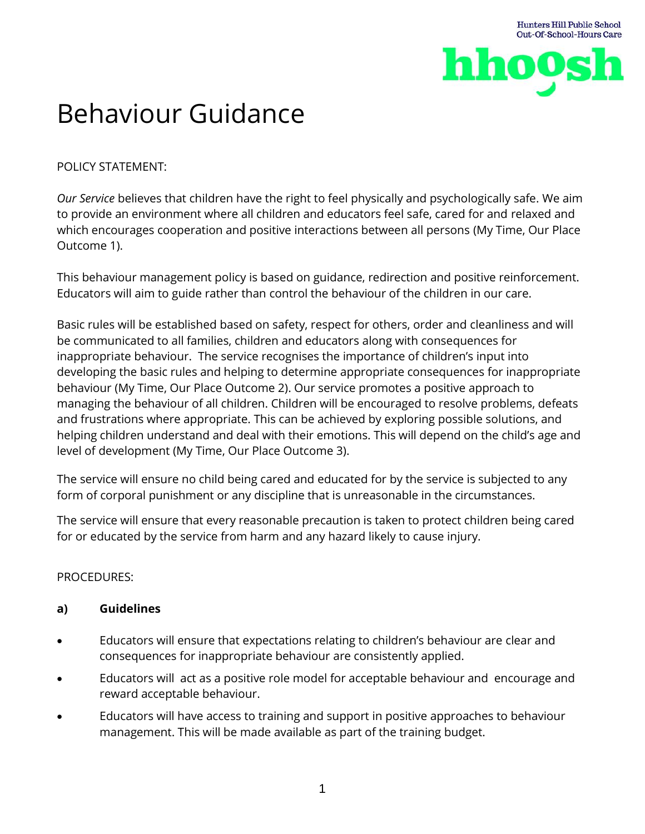

# Behaviour Guidance

POLICY STATEMENT:

*Our Service* believes that children have the right to feel physically and psychologically safe. We aim to provide an environment where all children and educators feel safe, cared for and relaxed and which encourages cooperation and positive interactions between all persons (My Time, Our Place Outcome 1).

This behaviour management policy is based on guidance, redirection and positive reinforcement. Educators will aim to guide rather than control the behaviour of the children in our care.

Basic rules will be established based on safety, respect for others, order and cleanliness and will be communicated to all families, children and educators along with consequences for inappropriate behaviour. The service recognises the importance of children's input into developing the basic rules and helping to determine appropriate consequences for inappropriate behaviour (My Time, Our Place Outcome 2). Our service promotes a positive approach to managing the behaviour of all children. Children will be encouraged to resolve problems, defeats and frustrations where appropriate. This can be achieved by exploring possible solutions, and helping children understand and deal with their emotions. This will depend on the child's age and level of development (My Time, Our Place Outcome 3).

The service will ensure no child being cared and educated for by the service is subjected to any form of corporal punishment or any discipline that is unreasonable in the circumstances.

The service will ensure that every reasonable precaution is taken to protect children being cared for or educated by the service from harm and any hazard likely to cause injury.

# PROCEDURES:

## **a) Guidelines**

- Educators will ensure that expectations relating to children's behaviour are clear and consequences for inappropriate behaviour are consistently applied.
- Educators will act as a positive role model for acceptable behaviour and encourage and reward acceptable behaviour.
- Educators will have access to training and support in positive approaches to behaviour management. This will be made available as part of the training budget.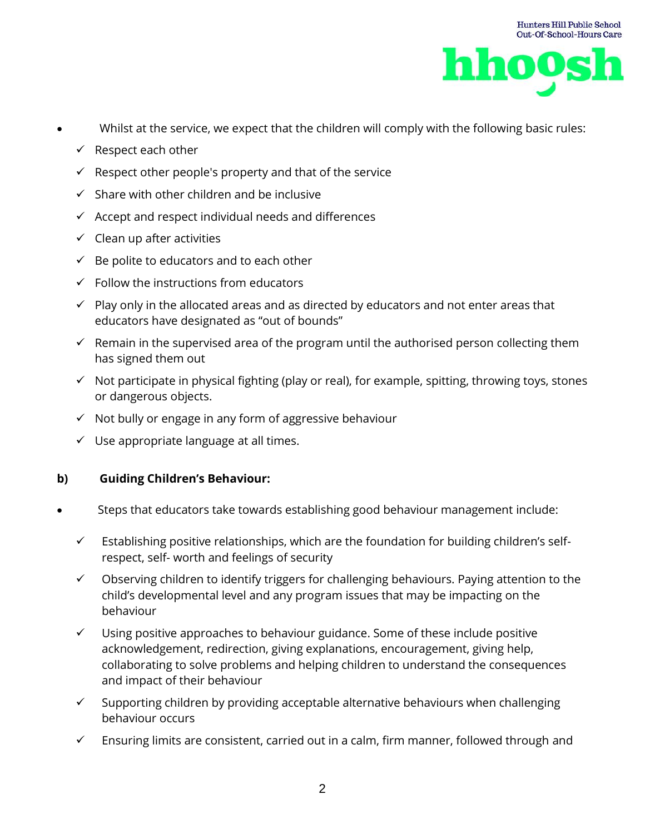

- Whilst at the service, we expect that the children will comply with the following basic rules:
	- $\checkmark$  Respect each other
	- $\checkmark$  Respect other people's property and that of the service
	- $\checkmark$  Share with other children and be inclusive
	- $\checkmark$  Accept and respect individual needs and differences
	- $\checkmark$  Clean up after activities
	- $\checkmark$  Be polite to educators and to each other
	- $\checkmark$  Follow the instructions from educators
	- $\checkmark$  Play only in the allocated areas and as directed by educators and not enter areas that educators have designated as "out of bounds"
	- $\checkmark$  Remain in the supervised area of the program until the authorised person collecting them has signed them out
	- ✓ Not participate in physical fighting (play or real), for example, spitting, throwing toys, stones or dangerous objects.
	- ✓ Not bully or engage in any form of aggressive behaviour
	- $\checkmark$  Use appropriate language at all times.

#### **b) Guiding Children's Behaviour:**

- Steps that educators take towards establishing good behaviour management include:
	- $\checkmark$  Establishing positive relationships, which are the foundation for building children's selfrespect, self- worth and feelings of security
	- $\checkmark$  Observing children to identify triggers for challenging behaviours. Paying attention to the child's developmental level and any program issues that may be impacting on the behaviour
	- $\checkmark$  Using positive approaches to behaviour guidance. Some of these include positive acknowledgement, redirection, giving explanations, encouragement, giving help, collaborating to solve problems and helping children to understand the consequences and impact of their behaviour
	- $\checkmark$  Supporting children by providing acceptable alternative behaviours when challenging behaviour occurs
	- $\checkmark$  Ensuring limits are consistent, carried out in a calm, firm manner, followed through and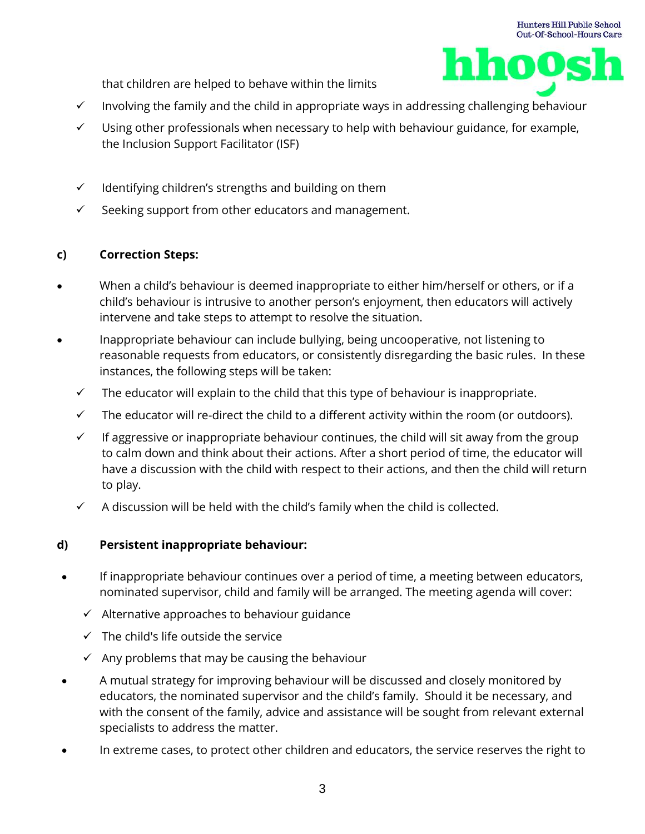1005

that children are helped to behave within the limits

- ✓ Involving the family and the child in appropriate ways in addressing challenging behaviour
- $\checkmark$  Using other professionals when necessary to help with behaviour guidance, for example, the Inclusion Support Facilitator (ISF)
- $\checkmark$  Identifying children's strengths and building on them
- $\checkmark$  Seeking support from other educators and management.

## **c) Correction Steps:**

- When a child's behaviour is deemed inappropriate to either him/herself or others, or if a child's behaviour is intrusive to another person's enjoyment, then educators will actively intervene and take steps to attempt to resolve the situation.
- Inappropriate behaviour can include bullying, being uncooperative, not listening to reasonable requests from educators, or consistently disregarding the basic rules. In these instances, the following steps will be taken:
	- $\checkmark$  The educator will explain to the child that this type of behaviour is inappropriate.
	- $\checkmark$  The educator will re-direct the child to a different activity within the room (or outdoors).
	- $\checkmark$  If aggressive or inappropriate behaviour continues, the child will sit away from the group to calm down and think about their actions. After a short period of time, the educator will have a discussion with the child with respect to their actions, and then the child will return to play.
	- $\checkmark$  A discussion will be held with the child's family when the child is collected.

## **d) Persistent inappropriate behaviour:**

- If inappropriate behaviour continues over a period of time, a meeting between educators, nominated supervisor, child and family will be arranged. The meeting agenda will cover:
	- $\checkmark$  Alternative approaches to behaviour guidance
	- $\checkmark$  The child's life outside the service
	- $\checkmark$  Any problems that may be causing the behaviour
- A mutual strategy for improving behaviour will be discussed and closely monitored by educators, the nominated supervisor and the child's family. Should it be necessary, and with the consent of the family, advice and assistance will be sought from relevant external specialists to address the matter.
- In extreme cases, to protect other children and educators, the service reserves the right to